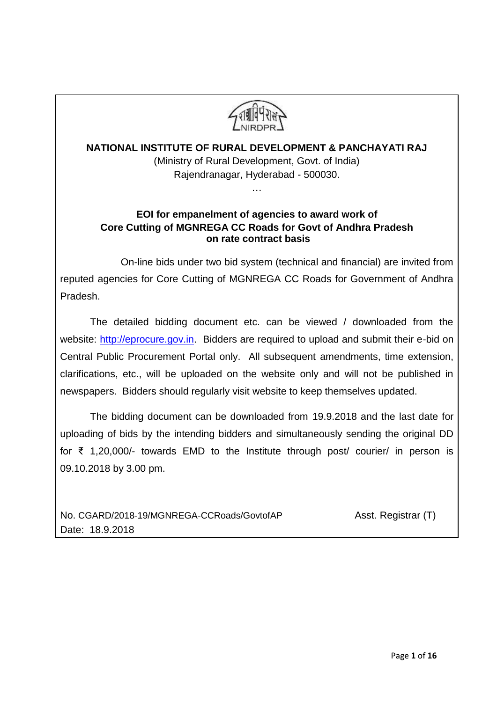

# **NATIONAL INSTITUTE OF RURAL DEVELOPMENT & PANCHAYATI RAJ** (Ministry of Rural Development, Govt. of India) Rajendranagar, Hyderabad - 500030.

…

## **EOI for empanelment of agencies to award work of Core Cutting of MGNREGA CC Roads for Govt of Andhra Pradesh on rate contract basis**

 On-line bids under two bid system (technical and financial) are invited from reputed agencies for Core Cutting of MGNREGA CC Roads for Government of Andhra Pradesh.

The detailed bidding document etc. can be viewed / downloaded from the website: [http://eprocure.gov.in.](http://eprocure.gov.in/) Bidders are required to upload and submit their e-bid on Central Public Procurement Portal only. All subsequent amendments, time extension, clarifications, etc., will be uploaded on the website only and will not be published in newspapers. Bidders should regularly visit website to keep themselves updated.

The bidding document can be downloaded from 19.9.2018 and the last date for uploading of bids by the intending bidders and simultaneously sending the original DD for ₹ 1,20,000/- towards EMD to the Institute through post/ courier/ in person is 09.10.2018 by 3.00 pm.

No. [CGARD/2018-19/MGNREGA-CCRoads/GovtofAP](https://nirdpr.eoffice.gov.in/eFile/?x=b3p7fEMNHb-K7gjngM1309a1OBgMi81H) Asst. Registrar (T) Date: 18.9.2018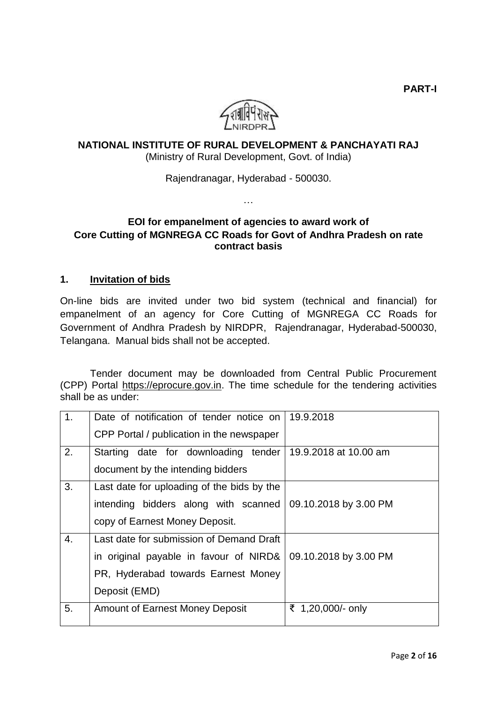**PART-I**



## **NATIONAL INSTITUTE OF RURAL DEVELOPMENT & PANCHAYATI RAJ** (Ministry of Rural Development, Govt. of India)

Rajendranagar, Hyderabad - 500030.

…

## **EOI for empanelment of agencies to award work of Core Cutting of MGNREGA CC Roads for Govt of Andhra Pradesh on rate contract basis**

### **1. Invitation of bids**

On-line bids are invited under two bid system (technical and financial) for empanelment of an agency for Core Cutting of MGNREGA CC Roads for Government of Andhra Pradesh by NIRDPR, Rajendranagar, Hyderabad-500030, Telangana. Manual bids shall not be accepted.

Tender document may be downloaded from Central Public Procurement (CPP) Portal [https://eprocure.gov.in.](https://eprocure.gov.in/) The time schedule for the tendering activities shall be as under:

| 1. | Date of notification of tender notice on   | 19.9.2018             |
|----|--------------------------------------------|-----------------------|
|    | CPP Portal / publication in the newspaper  |                       |
| 2. | Starting date for downloading tender       | 19.9.2018 at 10.00 am |
|    | document by the intending bidders          |                       |
| 3. | Last date for uploading of the bids by the |                       |
|    | intending bidders along with scanned       | 09.10.2018 by 3.00 PM |
|    | copy of Earnest Money Deposit.             |                       |
| 4. | Last date for submission of Demand Draft   |                       |
|    | in original payable in favour of NIRD&     | 09.10.2018 by 3.00 PM |
|    | PR, Hyderabad towards Earnest Money        |                       |
|    | Deposit (EMD)                              |                       |
| 5. | <b>Amount of Earnest Money Deposit</b>     | ₹ 1,20,000/- only     |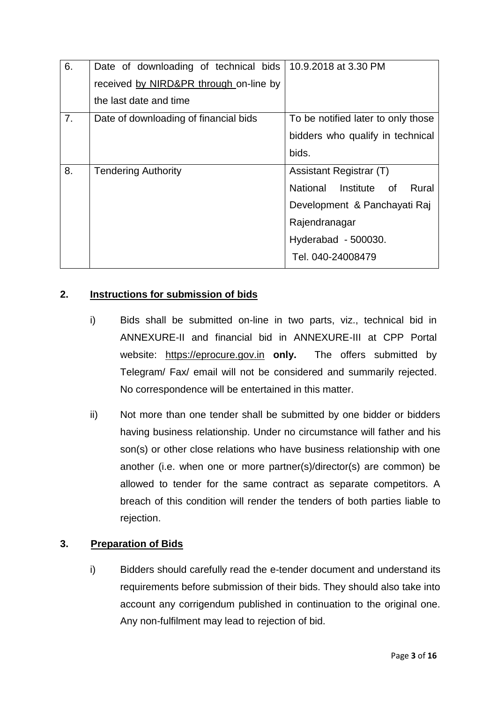| 6.             | Date of downloading of technical bids   10.9.2018 at 3.30 PM<br>received by NIRD&PR through on-line by<br>the last date and time |                                                                                                                                                        |
|----------------|----------------------------------------------------------------------------------------------------------------------------------|--------------------------------------------------------------------------------------------------------------------------------------------------------|
| 7 <sub>1</sub> | Date of downloading of financial bids                                                                                            | To be notified later to only those<br>bidders who qualify in technical<br>bids.                                                                        |
| 8.             | <b>Tendering Authority</b>                                                                                                       | Assistant Registrar (T)<br>National Institute of<br>Rural<br>Development & Panchayati Raj<br>Rajendranagar<br>Hyderabad - 500030.<br>Tel. 040-24008479 |

## **2. Instructions for submission of bids**

- i) Bids shall be submitted on-line in two parts, viz., technical bid in ANNEXURE-II and financial bid in ANNEXURE-III at CPP Portal website: [https://eprocure.gov.in](https://eprocure.gov.in/) **only.** The offers submitted by Telegram/ Fax/ email will not be considered and summarily rejected. No correspondence will be entertained in this matter.
- ii) Not more than one tender shall be submitted by one bidder or bidders having business relationship. Under no circumstance will father and his son(s) or other close relations who have business relationship with one another (i.e. when one or more partner(s)/director(s) are common) be allowed to tender for the same contract as separate competitors. A breach of this condition will render the tenders of both parties liable to rejection.

### **3. Preparation of Bids**

i) Bidders should carefully read the e-tender document and understand its requirements before submission of their bids. They should also take into account any corrigendum published in continuation to the original one. Any non-fulfilment may lead to rejection of bid.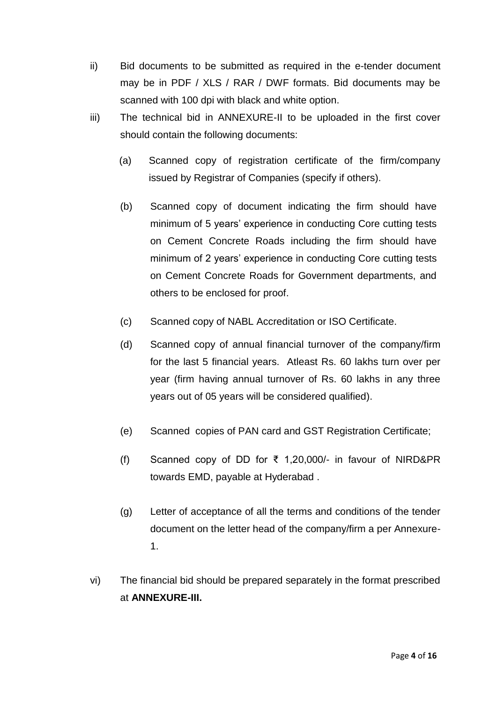- ii) Bid documents to be submitted as required in the e-tender document may be in PDF / XLS / RAR / DWF formats. Bid documents may be scanned with 100 dpi with black and white option.
- iii) The technical bid in ANNEXURE-II to be uploaded in the first cover should contain the following documents:
	- (a) Scanned copy of registration certificate of the firm/company issued by Registrar of Companies (specify if others).
	- (b) Scanned copy of document indicating the firm should have minimum of 5 years' experience in conducting Core cutting tests on Cement Concrete Roads including the firm should have minimum of 2 years' experience in conducting Core cutting tests on Cement Concrete Roads for Government departments, and others to be enclosed for proof.
	- (c) Scanned copy of NABL Accreditation or ISO Certificate.
	- (d) Scanned copy of annual financial turnover of the company/firm for the last 5 financial years. Atleast Rs. 60 lakhs turn over per year (firm having annual turnover of Rs. 60 lakhs in any three years out of 05 years will be considered qualified).
	- (e) Scanned copies of PAN card and GST Registration Certificate;
	- (f) Scanned copy of DD for ₹ 1,20,000/- in favour of NIRD&PR towards EMD, payable at Hyderabad .
	- (g) Letter of acceptance of all the terms and conditions of the tender document on the letter head of the company/firm a per Annexure-1.
- vi) The financial bid should be prepared separately in the format prescribed at **ANNEXURE-III.**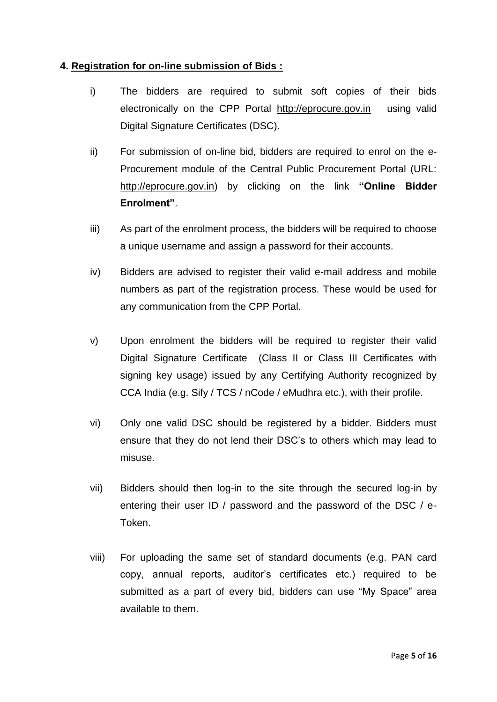### **4. Registration for on-line submission of Bids :**

- i) The bidders are required to submit soft copies of their bids electronically on the CPP Portal [http://eprocure.gov.in](http://eprocure.gov.in/) using valid Digital Signature Certificates (DSC).
- ii) For submission of on-line bid, bidders are required to enrol on the e-Procurement module of the Central Public Procurement Portal (URL: [http://eprocure.gov.in\)](http://eprocure.gov.in/eprocure/app) by clicking on the link **"Online Bidder Enrolment"**.
- iii) As part of the enrolment process, the bidders will be required to choose a unique username and assign a password for their accounts.
- iv) Bidders are advised to register their valid e-mail address and mobile numbers as part of the registration process. These would be used for any communication from the CPP Portal.
- v) Upon enrolment the bidders will be required to register their valid Digital Signature Certificate (Class II or Class III Certificates with signing key usage) issued by any Certifying Authority recognized by CCA India (e.g. Sify / TCS / nCode / eMudhra etc.), with their profile.
- vi) Only one valid DSC should be registered by a bidder. Bidders must ensure that they do not lend their DSC's to others which may lead to misuse.
- vii) Bidders should then log-in to the site through the secured log-in by entering their user ID / password and the password of the DSC / e-Token.
- viii) For uploading the same set of standard documents (e.g. PAN card copy, annual reports, auditor's certificates etc.) required to be submitted as a part of every bid, bidders can use "My Space" area available to them.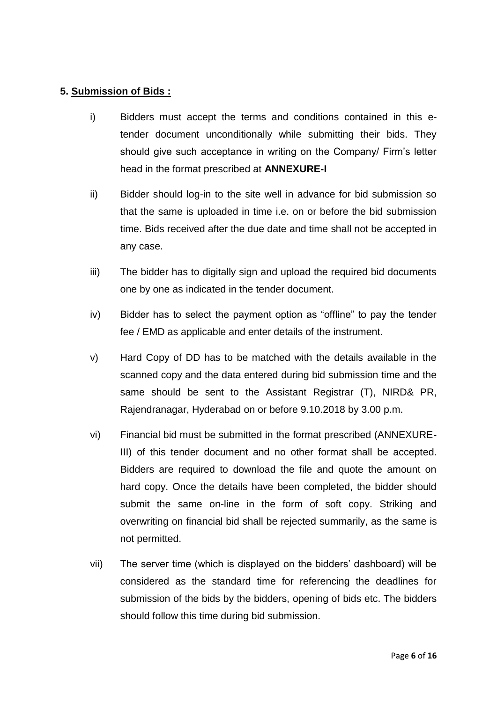### **5. Submission of Bids :**

- i) Bidders must accept the terms and conditions contained in this etender document unconditionally while submitting their bids. They should give such acceptance in writing on the Company/ Firm's letter head in the format prescribed at **ANNEXURE-I**
- ii) Bidder should log-in to the site well in advance for bid submission so that the same is uploaded in time i.e. on or before the bid submission time. Bids received after the due date and time shall not be accepted in any case.
- iii) The bidder has to digitally sign and upload the required bid documents one by one as indicated in the tender document.
- iv) Bidder has to select the payment option as "offline" to pay the tender fee / EMD as applicable and enter details of the instrument.
- v) Hard Copy of DD has to be matched with the details available in the scanned copy and the data entered during bid submission time and the same should be sent to the Assistant Registrar (T), NIRD& PR, Rajendranagar, Hyderabad on or before 9.10.2018 by 3.00 p.m.
- vi) Financial bid must be submitted in the format prescribed (ANNEXURE-III) of this tender document and no other format shall be accepted. Bidders are required to download the file and quote the amount on hard copy. Once the details have been completed, the bidder should submit the same on-line in the form of soft copy. Striking and overwriting on financial bid shall be rejected summarily, as the same is not permitted.
- vii) The server time (which is displayed on the bidders' dashboard) will be considered as the standard time for referencing the deadlines for submission of the bids by the bidders, opening of bids etc. The bidders should follow this time during bid submission.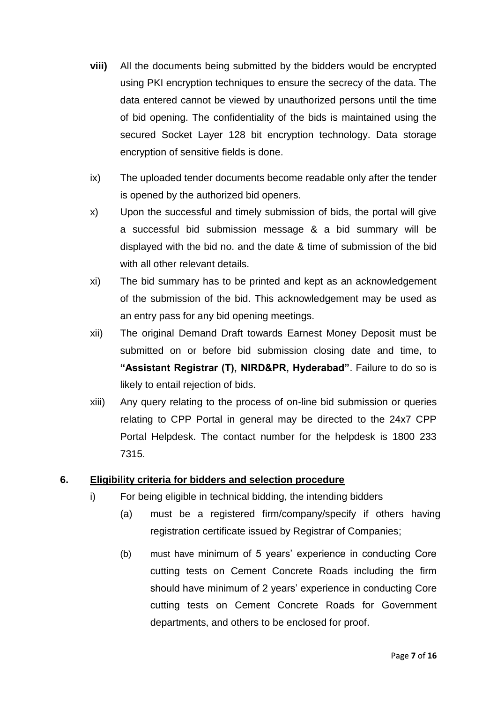- **viii)** All the documents being submitted by the bidders would be encrypted using PKI encryption techniques to ensure the secrecy of the data. The data entered cannot be viewed by unauthorized persons until the time of bid opening. The confidentiality of the bids is maintained using the secured Socket Layer 128 bit encryption technology. Data storage encryption of sensitive fields is done.
- ix) The uploaded tender documents become readable only after the tender is opened by the authorized bid openers.
- x) Upon the successful and timely submission of bids, the portal will give a successful bid submission message & a bid summary will be displayed with the bid no. and the date & time of submission of the bid with all other relevant details.
- xi) The bid summary has to be printed and kept as an acknowledgement of the submission of the bid. This acknowledgement may be used as an entry pass for any bid opening meetings.
- xii) The original Demand Draft towards Earnest Money Deposit must be submitted on or before bid submission closing date and time, to **"Assistant Registrar (T), NIRD&PR, Hyderabad"**. Failure to do so is likely to entail rejection of bids.
- xiii) Any query relating to the process of on-line bid submission or queries relating to CPP Portal in general may be directed to the 24x7 CPP Portal Helpdesk. The contact number for the helpdesk is 1800 233 7315.

## **6. Eligibility criteria for bidders and selection procedure**

- i) For being eligible in technical bidding, the intending bidders
	- (a) must be a registered firm/company/specify if others having registration certificate issued by Registrar of Companies;
	- (b) must have minimum of 5 years' experience in conducting Core cutting tests on Cement Concrete Roads including the firm should have minimum of 2 years' experience in conducting Core cutting tests on Cement Concrete Roads for Government departments, and others to be enclosed for proof.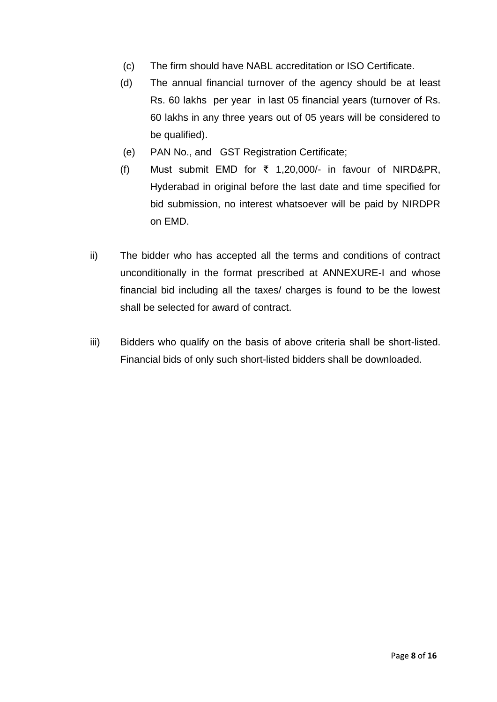- (c) The firm should have NABL accreditation or ISO Certificate.
- (d) The annual financial turnover of the agency should be at least Rs. 60 lakhs per year in last 05 financial years (turnover of Rs. 60 lakhs in any three years out of 05 years will be considered to be qualified).
- (e) PAN No., and GST Registration Certificate;
- (f) Must submit EMD for ₹ 1,20,000/- in favour of NIRD&PR, Hyderabad in original before the last date and time specified for bid submission, no interest whatsoever will be paid by NIRDPR on EMD.
- ii) The bidder who has accepted all the terms and conditions of contract unconditionally in the format prescribed at ANNEXURE-I and whose financial bid including all the taxes/ charges is found to be the lowest shall be selected for award of contract.
- iii) Bidders who qualify on the basis of above criteria shall be short-listed. Financial bids of only such short-listed bidders shall be downloaded.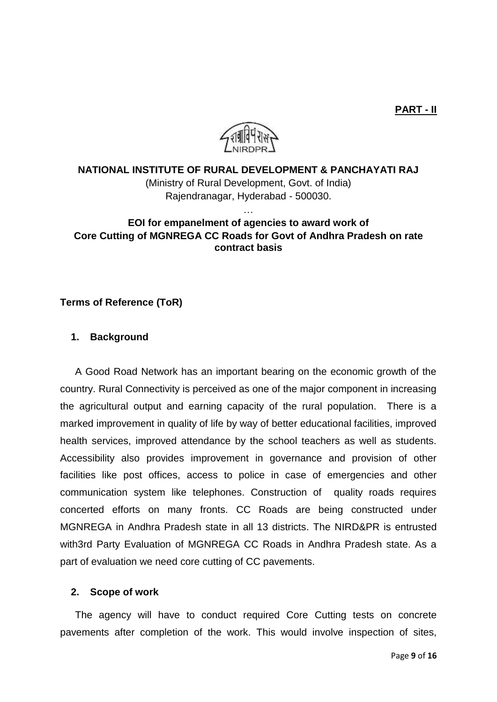**PART - II**



### **NATIONAL INSTITUTE OF RURAL DEVELOPMENT & PANCHAYATI RAJ**

(Ministry of Rural Development, Govt. of India) Rajendranagar, Hyderabad - 500030.

## **EOI for empanelment of agencies to award work of Core Cutting of MGNREGA CC Roads for Govt of Andhra Pradesh on rate contract basis**

…

### **Terms of Reference (ToR)**

#### **1. Background**

A Good Road Network has an important bearing on the economic growth of the country. Rural Connectivity is perceived as one of the major component in increasing the agricultural output and earning capacity of the rural population. There is a marked improvement in quality of life by way of better educational facilities, improved health services, improved attendance by the school teachers as well as students. Accessibility also provides improvement in governance and provision of other facilities like post offices, access to police in case of emergencies and other communication system like telephones. Construction of quality roads requires concerted efforts on many fronts. CC Roads are being constructed under MGNREGA in Andhra Pradesh state in all 13 districts. The NIRD&PR is entrusted with3rd Party Evaluation of MGNREGA CC Roads in Andhra Pradesh state. As a part of evaluation we need core cutting of CC pavements.

#### **2. Scope of work**

The agency will have to conduct required Core Cutting tests on concrete pavements after completion of the work. This would involve inspection of sites,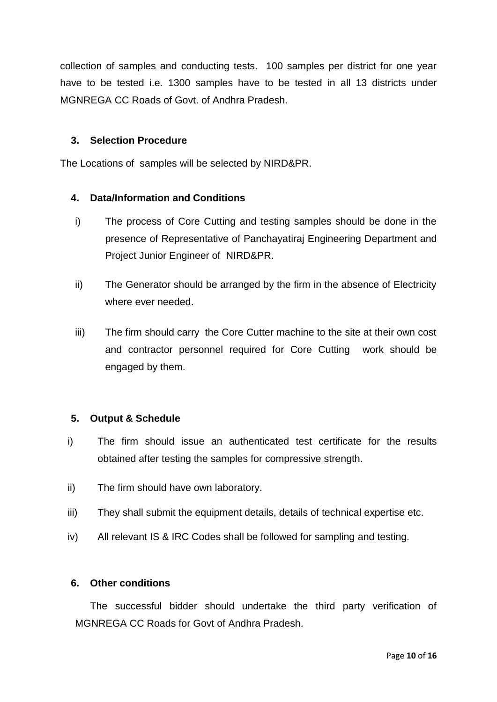collection of samples and conducting tests. 100 samples per district for one year have to be tested i.e. 1300 samples have to be tested in all 13 districts under MGNREGA CC Roads of Govt. of Andhra Pradesh.

### **3. Selection Procedure**

The Locations of samples will be selected by NIRD&PR.

#### **4. Data/Information and Conditions**

- i) The process of Core Cutting and testing samples should be done in the presence of Representative of Panchayatiraj Engineering Department and Project Junior Engineer of NIRD&PR.
- ii) The Generator should be arranged by the firm in the absence of Electricity where ever needed.
- iii) The firm should carry the Core Cutter machine to the site at their own cost and contractor personnel required for Core Cutting work should be engaged by them.

#### **5. Output & Schedule**

- i) The firm should issue an authenticated test certificate for the results obtained after testing the samples for compressive strength.
- ii) The firm should have own laboratory.
- iii) They shall submit the equipment details, details of technical expertise etc.
- iv) All relevant IS & IRC Codes shall be followed for sampling and testing.

#### **6. Other conditions**

The successful bidder should undertake the third party verification of MGNREGA CC Roads for Govt of Andhra Pradesh.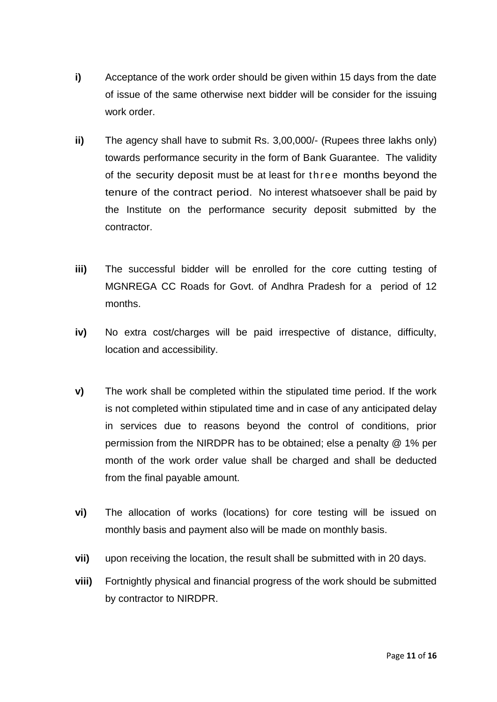- **i)** Acceptance of the work order should be given within 15 days from the date of issue of the same otherwise next bidder will be consider for the issuing work order.
- **ii)** The agency shall have to submit Rs. 3,00,000/- (Rupees three lakhs only) towards performance security in the form of Bank Guarantee. The validity of the security deposit must be at least for three months beyond the tenure of the contract period. No interest whatsoever shall be paid by the Institute on the performance security deposit submitted by the contractor.
- **iii)** The successful bidder will be enrolled for the core cutting testing of MGNREGA CC Roads for Govt. of Andhra Pradesh for a period of 12 months.
- **iv)** No extra cost/charges will be paid irrespective of distance, difficulty, location and accessibility.
- **v)** The work shall be completed within the stipulated time period. If the work is not completed within stipulated time and in case of any anticipated delay in services due to reasons beyond the control of conditions, prior permission from the NIRDPR has to be obtained; else a penalty @ 1% per month of the work order value shall be charged and shall be deducted from the final payable amount.
- **vi)** The allocation of works (locations) for core testing will be issued on monthly basis and payment also will be made on monthly basis.
- **vii)** upon receiving the location, the result shall be submitted with in 20 days.
- **viii)** Fortnightly physical and financial progress of the work should be submitted by contractor to NIRDPR.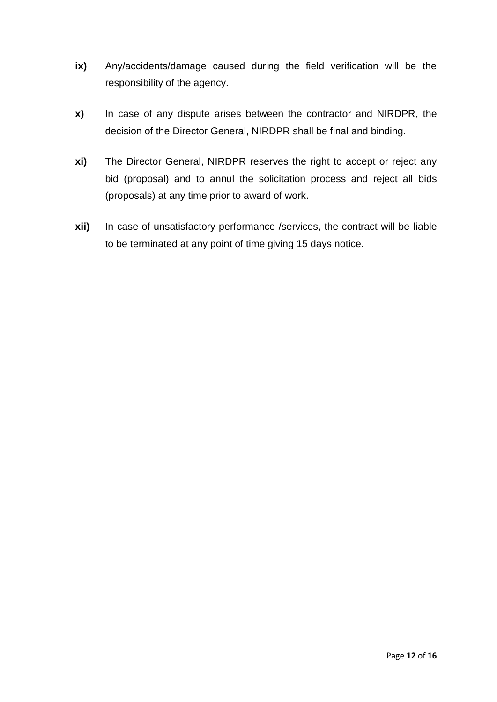- **ix)** Any/accidents/damage caused during the field verification will be the responsibility of the agency.
- **x)** In case of any dispute arises between the contractor and NIRDPR, the decision of the Director General, NIRDPR shall be final and binding.
- **xi)** The Director General, NIRDPR reserves the right to accept or reject any bid (proposal) and to annul the solicitation process and reject all bids (proposals) at any time prior to award of work.
- **xii)** In case of unsatisfactory performance /services, the contract will be liable to be terminated at any point of time giving 15 days notice.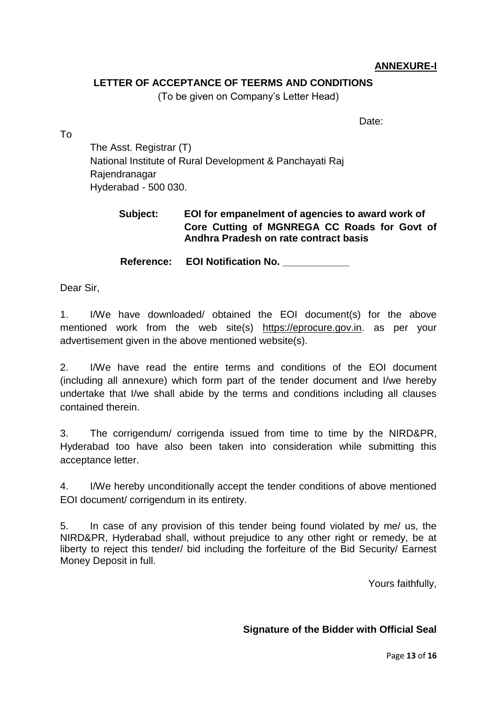## **ANNEXURE-I**

### **LETTER OF ACCEPTANCE OF TEERMS AND CONDITIONS**

(To be given on Company's Letter Head)

Date:

To

The Asst. Registrar (T) National Institute of Rural Development & Panchayati Raj Rajendranagar Hyderabad - 500 030.

## **Subject: EOI for empanelment of agencies to award work of Core Cutting of MGNREGA CC Roads for Govt of Andhra Pradesh on rate contract basis**

**Reference: EOI Notification No. \_\_\_\_\_\_\_\_\_\_\_\_**

Dear Sir,

1. I/We have downloaded/ obtained the EOI document(s) for the above mentioned work from the web site(s) [https://eprocure.gov.in.](https://eprocure.gov.in/) as per your advertisement given in the above mentioned website(s).

2. I/We have read the entire terms and conditions of the EOI document (including all annexure) which form part of the tender document and I/we hereby undertake that I/we shall abide by the terms and conditions including all clauses contained therein.

3. The corrigendum/ corrigenda issued from time to time by the NIRD&PR, Hyderabad too have also been taken into consideration while submitting this acceptance letter.

4. I/We hereby unconditionally accept the tender conditions of above mentioned EOI document/ corrigendum in its entirety.

5. In case of any provision of this tender being found violated by me/ us, the NIRD&PR, Hyderabad shall, without prejudice to any other right or remedy, be at liberty to reject this tender/ bid including the forfeiture of the Bid Security/ Earnest Money Deposit in full.

Yours faithfully,

## **Signature of the Bidder with Official Seal**

Page **13** of **16**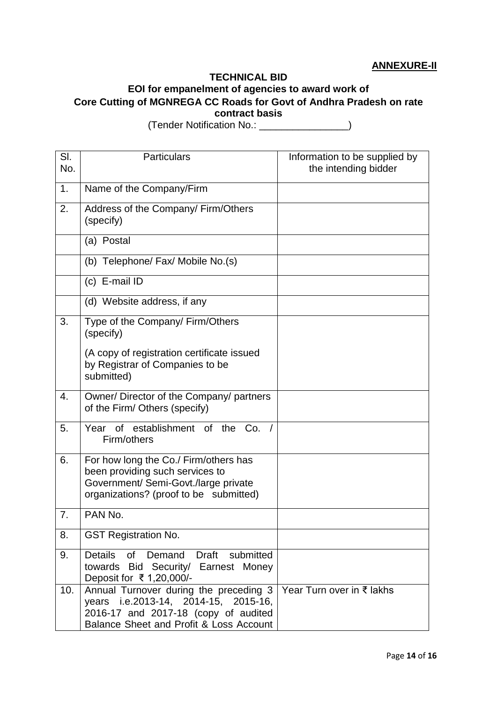### **ANNEXURE-II**

#### **TECHNICAL BID**

# **EOI for empanelment of agencies to award work of**

**Core Cutting of MGNREGA CC Roads for Govt of Andhra Pradesh on rate contract basis**

 $\overline{\mathsf{SI}}$ No. Particulars **Information to be supplied by** the intending bidder 1. Name of the Company/Firm 2. Address of the Company/ Firm/Others (specify) (a) Postal (b) Telephone/ Fax/ Mobile No.(s) (c) E-mail ID (d) Website address, if any 3. Type of the Company/ Firm/Others (specify) (A copy of registration certificate issued by Registrar of Companies to be submitted) 4. Owner/ Director of the Company/ partners of the Firm/ Others (specify) 5. Year of establishment of the Co. / Firm/others 6. For how long the Co./ Firm/others has been providing such services to Government/ Semi-Govt./large private organizations? (proof to be submitted) 7. PAN No. 8. GST Registration No. 9. Details of Demand Draft submitted towards Bid Security/ Earnest Money Deposit for ₹ 1,20,000/- 10. | Annual Turnover during the preceding 3 | Year Turn over in ₹ lakhs years i.e.2013-14, 2014-15, 2015-16, 2016-17 and 2017-18 (copy of audited Balance Sheet and Profit & Loss Account

(Tender Notification No.: \_\_\_\_\_\_\_\_\_\_\_\_\_\_\_\_)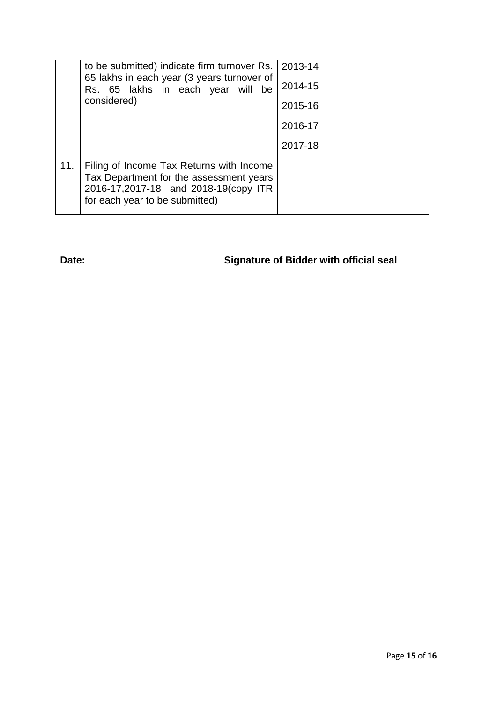|     | to be submitted) indicate firm turnover Rs. 2013-14<br>65 lakhs in each year (3 years turnover of<br>Rs. 65 lakhs in each year will be<br>considered)         |         |
|-----|---------------------------------------------------------------------------------------------------------------------------------------------------------------|---------|
|     |                                                                                                                                                               | 2014-15 |
|     |                                                                                                                                                               | 2015-16 |
|     |                                                                                                                                                               | 2016-17 |
|     |                                                                                                                                                               | 2017-18 |
| 11. | Filing of Income Tax Returns with Income<br>Tax Department for the assessment years<br>2016-17,2017-18 and 2018-19(copy ITR<br>for each year to be submitted) |         |

**Date: Signature of Bidder with official seal**